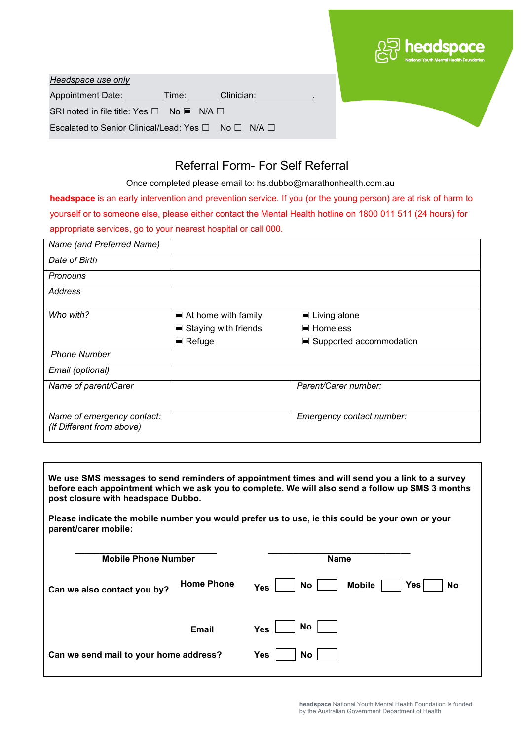|                                                                        | <b>DED</b> headspace |
|------------------------------------------------------------------------|----------------------|
| Headspace use only                                                     |                      |
| Appointment Date: Time:<br>Clinician:                                  |                      |
| SRI noted in file title: Yes $\square$ No $\blacksquare$ N/A $\square$ |                      |
| Escalated to Senior Clinical/Lead: Yes □ No □ N/A □                    |                      |

## Referral Form- For Self Referral

Once completed please email to: hs.dubbo@marathonhealth.com.au

**headspace** is an early intervention and prevention service. If you (or the young person) are at risk of harm to yourself or to someone else, please either contact the Mental Health hotline on 1800 011 511 (24 hours) for appropriate services, go to your nearest hospital or call 000.

| Name (and Preferred Name)                               |                                     |                             |
|---------------------------------------------------------|-------------------------------------|-----------------------------|
| Date of Birth                                           |                                     |                             |
| Pronouns                                                |                                     |                             |
| Address                                                 |                                     |                             |
| Who with?                                               | $\blacksquare$ At home with family  | $\blacksquare$ Living alone |
|                                                         | $\blacksquare$ Staying with friends | $\blacksquare$ Homeless     |
|                                                         | $\blacksquare$ Refuge               | ■ Supported accommodation   |
| <b>Phone Number</b>                                     |                                     |                             |
| Email (optional)                                        |                                     |                             |
| Name of parent/Carer                                    |                                     | Parent/Carer number:        |
| Name of emergency contact:<br>(If Different from above) |                                     | Emergency contact number:   |

| We use SMS messages to send reminders of appointment times and will send you a link to a survey<br>before each appointment which we ask you to complete. We will also send a follow up SMS 3 months<br>post closure with headspace Dubbo. |                   |                                                  |  |  |
|-------------------------------------------------------------------------------------------------------------------------------------------------------------------------------------------------------------------------------------------|-------------------|--------------------------------------------------|--|--|
| Please indicate the mobile number you would prefer us to use, ie this could be your own or your<br>parent/carer mobile:                                                                                                                   |                   |                                                  |  |  |
| <b>Mobile Phone Number</b>                                                                                                                                                                                                                |                   | <b>Name</b>                                      |  |  |
| Can we also contact you by?                                                                                                                                                                                                               | <b>Home Phone</b> | Yesl<br>No.<br><b>Mobile</b><br>No<br><b>Yes</b> |  |  |
|                                                                                                                                                                                                                                           | <b>Email</b>      | No<br><b>Yes</b>                                 |  |  |
| Can we send mail to your home address?                                                                                                                                                                                                    |                   | Yes<br>No                                        |  |  |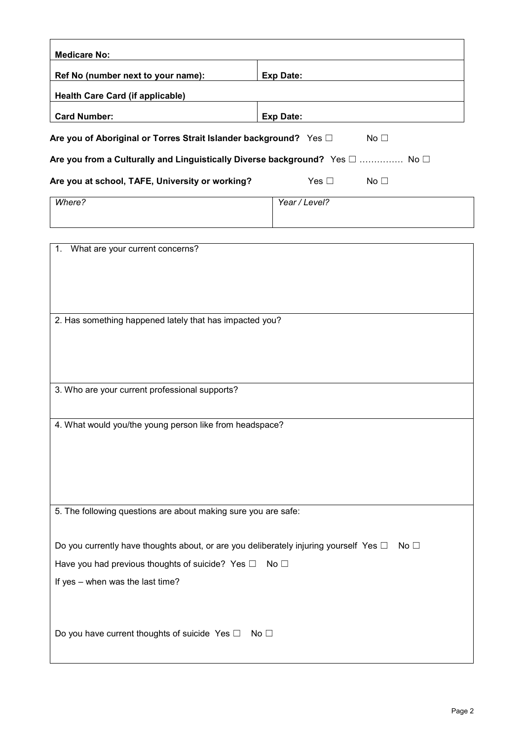| <b>Medicare No:</b>                                                                        |                                  |  |
|--------------------------------------------------------------------------------------------|----------------------------------|--|
| Ref No (number next to your name):                                                         | <b>Exp Date:</b>                 |  |
| <b>Health Care Card (if applicable)</b>                                                    |                                  |  |
| <b>Card Number:</b>                                                                        | <b>Exp Date:</b>                 |  |
| Are you of Aboriginal or Torres Strait Islander background? Yes D                          | No <sub>1</sub>                  |  |
| Are you from a Culturally and Linguistically Diverse background? Yes □  No □               |                                  |  |
| Are you at school, TAFE, University or working?                                            | Yes $\square$<br>No <sub>1</sub> |  |
| Where?                                                                                     | Year / Level?                    |  |
|                                                                                            |                                  |  |
| What are your current concerns?<br>1.                                                      |                                  |  |
|                                                                                            |                                  |  |
|                                                                                            |                                  |  |
|                                                                                            |                                  |  |
| 2. Has something happened lately that has impacted you?                                    |                                  |  |
|                                                                                            |                                  |  |
|                                                                                            |                                  |  |
| 3. Who are your current professional supports?                                             |                                  |  |
|                                                                                            |                                  |  |
| 4. What would you/the young person like from headspace?                                    |                                  |  |
|                                                                                            |                                  |  |
|                                                                                            |                                  |  |
|                                                                                            |                                  |  |
| 5. The following questions are about making sure you are safe:                             |                                  |  |
|                                                                                            |                                  |  |
| Do you currently have thoughts about, or are you deliberately injuring yourself Yes $\Box$ | No $\square$                     |  |
| Have you had previous thoughts of suicide? Yes $\square$<br>No $\square$                   |                                  |  |
| If yes - when was the last time?                                                           |                                  |  |
|                                                                                            |                                  |  |
| Do you have current thoughts of suicide Yes $\square$                                      | No $\square$                     |  |
|                                                                                            |                                  |  |